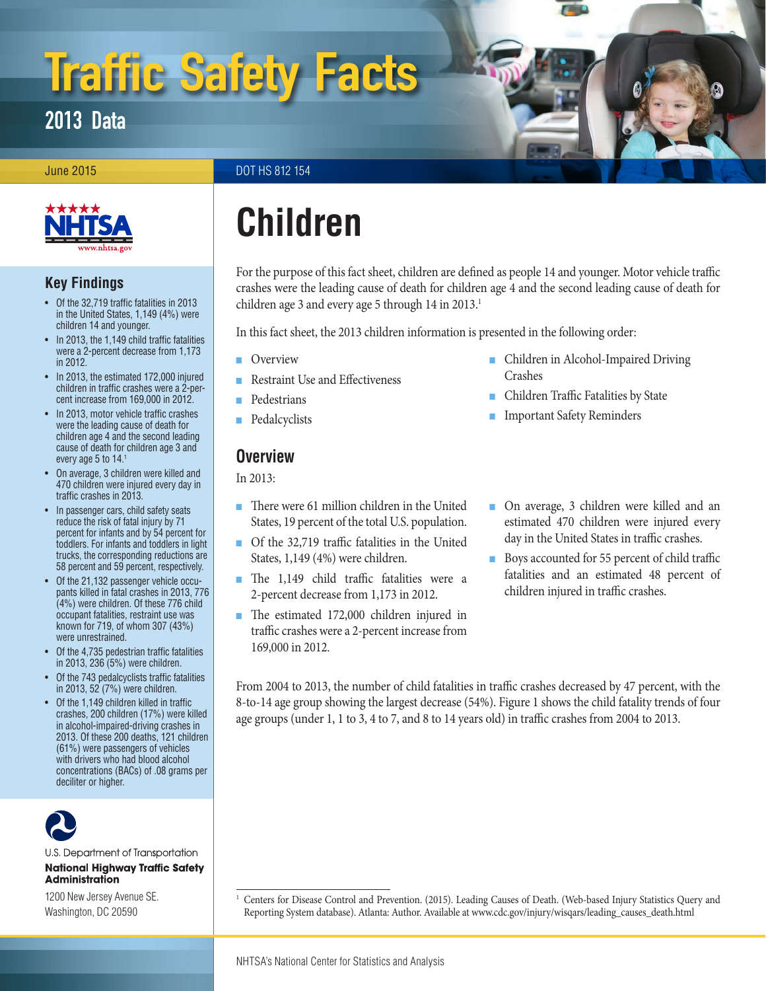# Traffic Safety Facts

### 2013 Data

#### **June 2015** DOT HS 812 154



#### **Key Findings**

- Of the 32,719 traffic fatalities in 2013 in the United States, 1,149 (4%) were children 14 and younger.
- In 2013, the 1,149 child traffic fatalities were a 2-percent decrease from 1,173 in 2012.
- In 2013, the estimated 172,000 injured children in traffic crashes were a 2-percent increase from 169,000 in 2012.
- In 2013, motor vehicle traffic crashes were the leading cause of death for children age 4 and the second leading cause of death for children age 3 and every age 5 to 14.1
- On average, 3 children were killed and 470 children were injured every day in traffic crashes in 2013.
- In passenger cars, child safety seats reduce the risk of fatal injury by 71 percent for infants and by 54 percent for toddlers. For infants and toddlers in light trucks, the corresponding reductions are 58 percent and 59 percent, respectively.
- Of the 21,132 passenger vehicle occupants killed in fatal crashes in 2013, 776 (4%) were children. Of these 776 child occupant fatalities, restraint use was known for 719, of whom 307 (43%) were unrestrained.
- Of the 4,735 pedestrian traffic fatalities in 2013, 236 (5%) were children.
- Of the 743 pedalcyclists traffic fatalities in 2013, 52 (7%) were children.
- Of the 1,149 children killed in traffic crashes, 200 children (17%) were killed in alcohol-impaired-driving crashes in 2013. Of these 200 deaths, 121 children (61%) were passengers of vehicles with drivers who had blood alcohol concentrations (BACs) of .08 grams per deciliter or higher.



U.S. Department of Transportation **National Highway Traffic Safety Administration** 

1200 New Jersey Avenue SE. Washington, DC 20590

## **Children**

For the purpose of this fact sheet, children are defined as people 14 and younger. Motor vehicle traffic crashes were the leading cause of death for children age 4 and the second leading cause of death for children age 3 and every age 5 through 14 in 2013.<sup>1</sup>

In this fact sheet, the 2013 children information is presented in the following order:

- [Overview](#page-0-0)
- [Restraint Use and Effectiveness](#page-1-0)
- [Pedestrians](#page-3-0)
- [Pedalcyclists](#page-4-0)

#### <span id="page-0-0"></span>**Overview**

In 2013:

- There were 61 million children in the United States, 19 percent of the total U.S. population.
- Of the 32,719 traffic fatalities in the United States, 1,149 (4%) were children.
- The 1,149 child traffic fatalities were a 2-percent decrease from 1,173 in 2012.
- The estimated 172,000 children injured in traffic crashes were a 2-percent increase from 169,000 in 2012.
- Children in Alcohol-Impaired Driving [Crashes](#page-4-1)
- [Children Traffic Fatalities by State](#page-4-2)
- [Important Safety Reminders](#page-6-0)
- On average, 3 children were killed and an estimated 470 children were injured every day in the United States in traffic crashes.
- Boys accounted for 55 percent of child traffic fatalities and an estimated 48 percent of children injured in traffic crashes.

From 2004 to 2013, the number of child fatalities in traffic crashes decreased by 47 percent, with the 8-to-14 age group showing the largest decrease (54%). Figure 1 shows the child fatality trends of four age groups (under 1, 1 to 3, 4 to 7, and 8 to 14 years old) in traffic crashes from 2004 to 2013.

<sup>1</sup> Centers for Disease Control and Prevention. (2015). Leading Causes of Death. (Web-based Injury Statistics Query and Reporting System database). Atlanta: Author. Available at [www.cdc.gov/injury/wisqars/leading\\_causes\\_death.html](http://www.cdc.gov/injury/wisqars/leading_causes_death.html)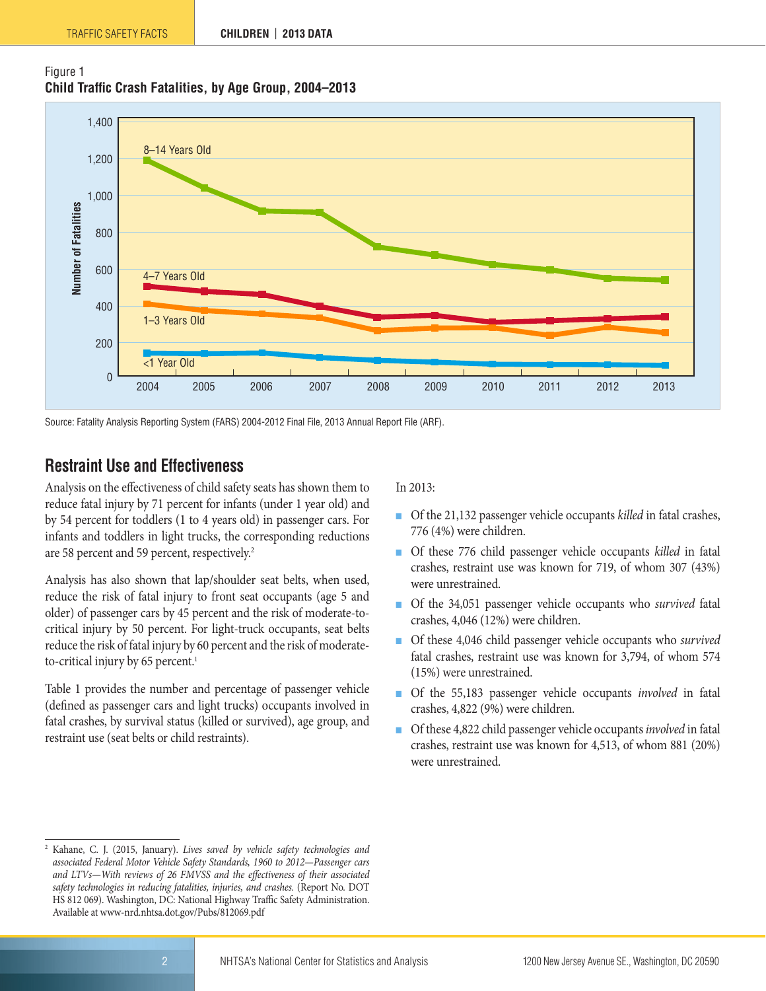



Source: Fatality Analysis Reporting System (FARS) 2004-2012 Final File, 2013 Annual Report File (ARF).

#### <span id="page-1-0"></span>**Restraint Use and Effectiveness**

Analysis on the effectiveness of child safety seats has shown them to reduce fatal injury by 71 percent for infants (under 1 year old) and by 54 percent for toddlers (1 to 4 years old) in passenger cars. For infants and toddlers in light trucks, the corresponding reductions are 58 percent and 59 percent, respectively.<sup>2</sup>

Analysis has also shown that lap/shoulder seat belts, when used, reduce the risk of fatal injury to front seat occupants (age 5 and older) of passenger cars by 45 percent and the risk of moderate-tocritical injury by 50 percent. For light-truck occupants, seat belts reduce the risk of fatal injury by 60 percent and the risk of moderateto-critical injury by 65 percent.<sup>1</sup>

Table 1 provides the number and percentage of passenger vehicle (defined as passenger cars and light trucks) occupants involved in fatal crashes, by survival status (killed or survived), age group, and restraint use (seat belts or child restraints).

In 2013:

- Of the 21,132 passenger vehicle occupants *killed* in fatal crashes, 776 (4%) were children.
- Of these 776 child passenger vehicle occupants *killed* in fatal crashes, restraint use was known for 719, of whom 307 (43%) were unrestrained.
- Of the 34,051 passenger vehicle occupants who *survived* fatal crashes, 4,046 (12%) were children.
- Of these 4,046 child passenger vehicle occupants who *survived* fatal crashes, restraint use was known for 3,794, of whom 574 (15%) were unrestrained.
- Of the 55,183 passenger vehicle occupants *involved* in fatal crashes, 4,822 (9%) were children.
- Of these 4,822 child passenger vehicle occupants *involved* in fatal crashes, restraint use was known for 4,513, of whom 881 (20%) were unrestrained.

<sup>2</sup> Kahane, C. J. (2015, January). *Lives saved by vehicle safety technologies and associated Federal Motor Vehicle Safety Standards, 1960 to 2012—Passenger cars and LTVs—With reviews of 26 FMVSS and the effectiveness of their associated safety technologies in reducing fatalities, injuries, and crashes.* (Report No. DOT HS 812 069). Washington, DC: National Highway Traffic Safety Administration. Available at [www-nrd.nhtsa.dot.gov/Pubs/812069.pdf](https://ce.dot.gov/team/nhtsa.occiwf/Lists/ProjectDetail/Attachments/2219/www-nrd.nhtsa.dot.gov/Pubs/812069.pdf)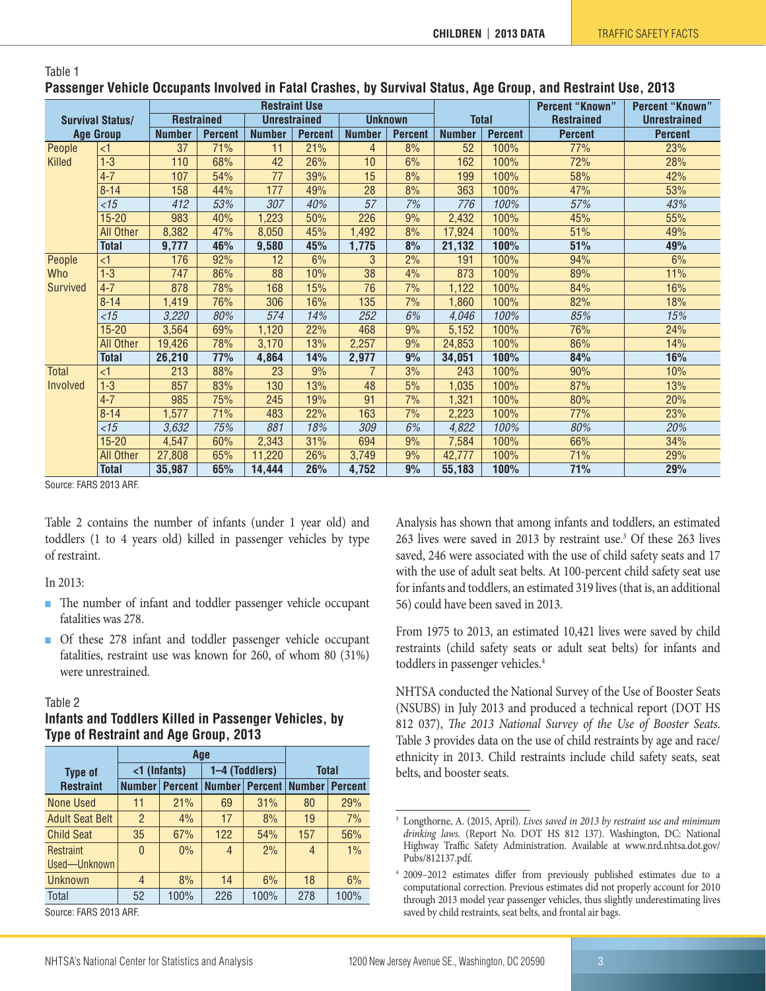| . adduight valled addupting illfored ill catal drughooj by our rival dialuoj rigo droupj ullu rivollullit addi |                  |                      |                   |                 |                                       |                  |                |               |                        |                        |                     |
|----------------------------------------------------------------------------------------------------------------|------------------|----------------------|-------------------|-----------------|---------------------------------------|------------------|----------------|---------------|------------------------|------------------------|---------------------|
| <b>Survival Status/</b><br><b>Age Group</b>                                                                    |                  | <b>Restraint Use</b> |                   |                 |                                       |                  |                |               | <b>Percent "Known"</b> | <b>Percent "Known"</b> |                     |
|                                                                                                                |                  |                      | <b>Restrained</b> |                 | <b>Unrestrained</b><br><b>Unknown</b> |                  |                | <b>Total</b>  |                        | <b>Restrained</b>      | <b>Unrestrained</b> |
|                                                                                                                |                  | <b>Number</b>        | <b>Percent</b>    | <b>Number</b>   | <b>Percent</b>                        | <b>Number</b>    | <b>Percent</b> | <b>Number</b> | <b>Percent</b>         | <b>Percent</b>         | <b>Percent</b>      |
| People                                                                                                         | $\leq$ 1         | 37                   | 71%               | 11              | 21%                                   | 4                | 8%             | 52            | 100%                   | 77%                    | 23%                 |
| Killed                                                                                                         | $1-3$            | 110                  | 68%               | 42              | 26%                                   | 10               | 6%             | 162           | 100%                   | 72%                    | 28%                 |
|                                                                                                                | $4 - 7$          | 107                  | 54%               | $\overline{77}$ | 39%                                   | 15               | 8%             | 199           | 100%                   | 58%                    | 42%                 |
|                                                                                                                | $8 - 14$         | 158                  | 44%               | 177             | 49%                                   | 28               | 8%             | 363           | 100%                   | 47%                    | 53%                 |
|                                                                                                                | $\overline{5}$   | 412                  | 53%               | 307             | 40%                                   | $\overline{57}$  | 7%             | 776           | 100%                   | 57%                    | 43%                 |
|                                                                                                                | $15 - 20$        | 983                  | 40%               | 1,223           | 50%                                   | 226              | 9%             | 2,432         | 100%                   | 45%                    | 55%                 |
|                                                                                                                | <b>All Other</b> | 8,382                | 47%               | 8,050           | 45%                                   | 1,492            | 8%             | 17,924        | 100%                   | 51%                    | 49%                 |
|                                                                                                                | <b>Total</b>     | 9,777                | 46%               | 9,580           | 45%                                   | 1,775            | 8%             | 21,132        | 100%                   | 51%                    | 49%                 |
| People                                                                                                         | $\leq$ 1         | 176                  | 92%               | 12              | 6%                                    | 3                | 2%             | 191           | 100%                   | 94%                    | 6%                  |
| Who                                                                                                            | $1-3$            | 747                  | 86%               | 88              | 10%                                   | 38               | 4%             | 873           | 100%                   | 89%                    | 11%                 |
| Survived                                                                                                       | $4 - 7$          | 878                  | 78%               | 168             | 15%                                   | 76               | 7%             | 1,122         | 100%                   | 84%                    | 16%                 |
|                                                                                                                | $8 - 14$         | 1,419                | 76%               | 306             | 16%                                   | $\overline{135}$ | 7%             | 1,860         | 100%                   | 82%                    | 18%                 |
|                                                                                                                | $<$ 15           | 3,220                | 80%               | 574             | 14%                                   | 252              | 6%             | 4,046         | 100%                   | 85%                    | 15%                 |
|                                                                                                                | $15 - 20$        | 3,564                | 69%               | 1,120           | 22%                                   | 468              | 9%             | 5,152         | 100%                   | 76%                    | 24%                 |
|                                                                                                                | All Other        | 19,426               | 78%               | 3,170           | 13%                                   | 2,257            | 9%             | 24,853        | 100%                   | 86%                    | 14%                 |
|                                                                                                                | <b>Total</b>     | 26,210               | 77%               | 4,864           | 14%                                   | 2,977            | 9%             | 34,051        | 100%                   | 84%                    | 16%                 |
| Total                                                                                                          | $\leq$ 1         | 213                  | 88%               | 23              | 9%                                    | $\overline{7}$   | 3%             | 243           | 100%                   | 90%                    | 10%                 |
| Involved                                                                                                       | $1-3$            | 857                  | 83%               | 130             | 13%                                   | 48               | 5%             | 1,035         | 100%                   | 87%                    | 13%                 |
|                                                                                                                | $4 - 7$          | 985                  | 75%               | 245             | 19%                                   | 91               | 7%             | 1,321         | 100%                   | 80%                    | 20%                 |
|                                                                                                                | $8 - 14$         | 1,577                | 71%               | 483             | 22%                                   | 163              | 7%             | 2,223         | 100%                   | 77%                    | 23%                 |
|                                                                                                                | $<$ 15           | 3,632                | 75%               | 881             | 18%                                   | 309              | 6%             | 4,822         | 100%                   | 80%                    | 20%                 |
|                                                                                                                | $15 - 20$        | 4,547                | 60%               | 2,343           | 31%                                   | 694              | 9%             | 7,584         | 100%                   | 66%                    | 34%                 |
|                                                                                                                | <b>All Other</b> | 27,808               | 65%               | 11,220          | 26%                                   | 3,749            | 9%             | 42,777        | 100%                   | 71%                    | 29%                 |
|                                                                                                                | <b>Total</b>     | 35,987               | 65%               | 14,444          | 26%                                   | 4,752            | 9%             | 55,183        | 100%                   | 71%                    | 29%                 |

#### Table 1 **Passenger Vehicle Occupants Involved in Fatal Crashes, by Survival Status, Age Group, and Restraint Use, 2013**

Source: FARS 2013 ARF.

Table 2 contains the number of infants (under 1 year old) and toddlers (1 to 4 years old) killed in passenger vehicles by type of restraint.

#### In 2013:

- The number of infant and toddler passenger vehicle occupant fatalities was 278.
- Of these 278 infant and toddler passenger vehicle occupant fatalities, restraint use was known for 260, of whom 80 (31%) were unrestrained.

#### Table 2

#### **Infants and Toddlers Killed in Passenger Vehicles, by Type of Restraint and Age Group, 2013**

|                        |                | Age                   |                |                |                         |                |
|------------------------|----------------|-----------------------|----------------|----------------|-------------------------|----------------|
| <b>Type of</b>         |                | $\langle$ 1 (Infants) |                | 1-4 (Toddlers) | <b>Total</b>            |                |
| <b>Restraint</b>       | <b>Number</b>  | <b>Percent</b>        | <b>Number</b>  |                | <b>Percent   Number</b> | <b>Percent</b> |
| None Used              | 11             | 21%                   | 69             | 31%            | 80                      | 29%            |
| <b>Adult Seat Belt</b> | $\overline{2}$ | 4%                    | 17             | 8%             | 19                      | 7%             |
| <b>Child Seat</b>      | 35             | 67%                   | 122            | 54%            | 157                     | 56%            |
| Restraint              | $\mathbf{0}$   | $0\%$                 | $\overline{4}$ | 2%             | 4                       | 1%             |
| Used-Unknown           |                |                       |                |                |                         |                |
| Unknown                | $\overline{4}$ | 8%                    | 14             | 6%             | 18                      | 6%             |
| Total                  | 52             | 100%                  | 226            | 100%           | 278                     | 100%           |
|                        |                |                       |                |                |                         |                |

Source: FARS 2013 ARF.

Analysis has shown that among infants and toddlers, an estimated 263 lives were saved in 2013 by restraint use.3 Of these 263 lives saved, 246 were associated with the use of child safety seats and 17 with the use of adult seat belts. At 100-percent child safety seat use for infants and toddlers, an estimated 319 lives (that is, an additional 56) could have been saved in 2013.

From 1975 to 2013, an estimated 10,421 lives were saved by child restraints (child safety seats or adult seat belts) for infants and toddlers in passenger vehicles.<sup>4</sup>

NHTSA conducted the National Survey of the Use of Booster Seats (NSUBS) in July 2013 and produced a technical report (DOT HS 812 037), *The 2013 National Survey of the Use of Booster Seats*. Table 3 provides data on the use of child restraints by age and race/ ethnicity in 2013. Child restraints include child safety seats, seat belts, and booster seats.

<sup>3</sup> Longthorne, A. (2015, April). *Lives saved in 2013 by restraint use and minimum drinking laws.* (Report No. DOT HS 812 137). Washington, DC: National Highway Traffic Safety Administration. Available at www.nrd.nhtsa.dot.gov/ Pubs/812137.pdf.

<sup>4</sup> 2009–2012 estimates differ from previously published estimates due to a computational correction. Previous estimates did not properly account for 2010 through 2013 model year passenger vehicles, thus slightly underestimating lives saved by child restraints, seat belts, and frontal air bags.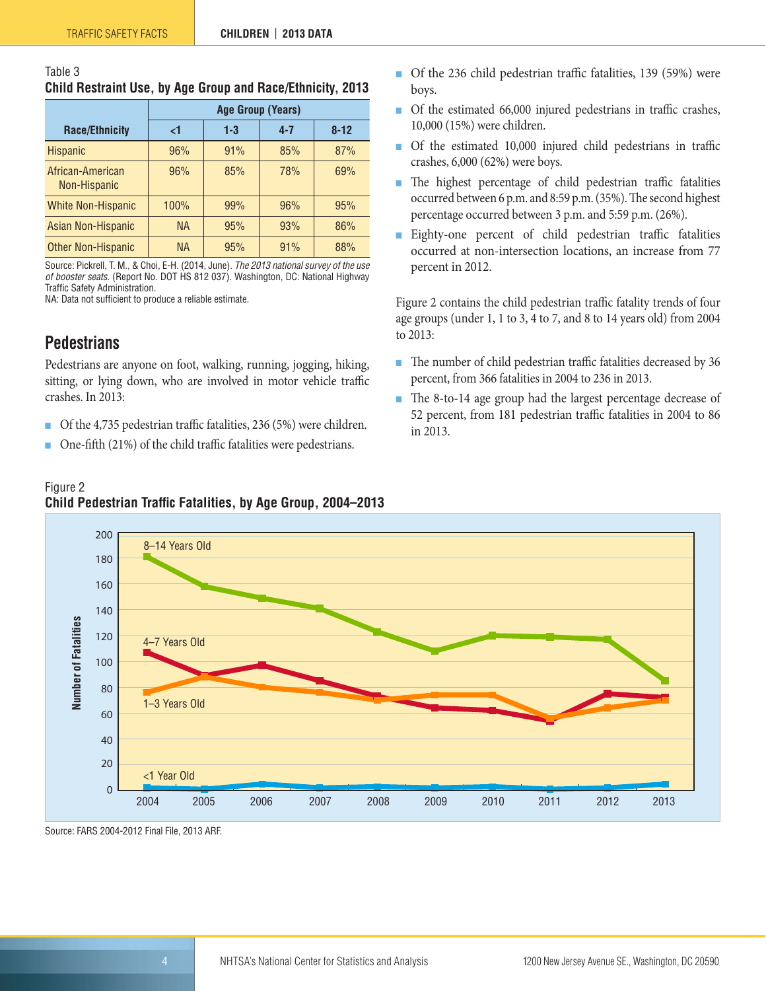| Table 3 |                                                            |  |
|---------|------------------------------------------------------------|--|
|         | Child Restraint Use, by Age Group and Race/Ethnicity, 2013 |  |

|                                  | <b>Age Group (Years)</b> |       |         |          |  |  |  |
|----------------------------------|--------------------------|-------|---------|----------|--|--|--|
| <b>Race/Ethnicity</b>            | <1                       | $1-3$ | $4 - 7$ | $8 - 12$ |  |  |  |
| <b>Hispanic</b>                  | 96%                      | 91%   | 85%     | 87%      |  |  |  |
| African-American<br>Non-Hispanic | 96%                      | 85%   | 78%     | 69%      |  |  |  |
| <b>White Non-Hispanic</b>        | 100%                     | 99%   | 96%     | 95%      |  |  |  |
| Asian Non-Hispanic               | <b>NA</b>                | 95%   | 93%     | 86%      |  |  |  |
| <b>Other Non-Hispanic</b>        | <b>NA</b>                | 95%   | 91%     | 88%      |  |  |  |

Source: Pickrell, T. M., & Choi, E-H. (2014, June). *The 2013 national survey of the use of booster seats.* (Report No. DOT HS 812 037). Washington, DC: National Highway Traffic Safety Administration.

NA: Data not sufficient to produce a reliable estimate.

#### <span id="page-3-0"></span>**Pedestrians**

Pedestrians are anyone on foot, walking, running, jogging, hiking, sitting, or lying down, who are involved in motor vehicle traffic crashes. In 2013:

- Of the 4,735 pedestrian traffic fatalities, 236 (5%) were children.
- One-fifth (21%) of the child traffic fatalities were pedestrians.
- Of the 236 child pedestrian traffic fatalities, 139 (59%) were boys.
- Of the estimated 66,000 injured pedestrians in traffic crashes, 10,000 (15%) were children.
- Of the estimated 10,000 injured child pedestrians in traffic crashes, 6,000 (62%) were boys.
- The highest percentage of child pedestrian traffic fatalities occurred between 6 p.m. and 8:59 p.m. (35%). The second highest percentage occurred between 3 p.m. and 5:59 p.m. (26%).
- Eighty-one percent of child pedestrian traffic fatalities occurred at non-intersection locations, an increase from 77 percent in 2012.

Figure 2 contains the child pedestrian traffic fatality trends of four age groups (under 1, 1 to 3, 4 to 7, and 8 to 14 years old) from 2004 to 2013:

- The number of child pedestrian traffic fatalities decreased by 36 percent, from 366 fatalities in 2004 to 236 in 2013.
- The 8-to-14 age group had the largest percentage decrease of 52 percent, from 181 pedestrian traffic fatalities in 2004 to 86 in 2013.



Figure 2 **Child Pedestrian Traffic Fatalities, by Age Group, 2004–2013**

Source: FARS 2004-2012 Final File, 2013 ARF.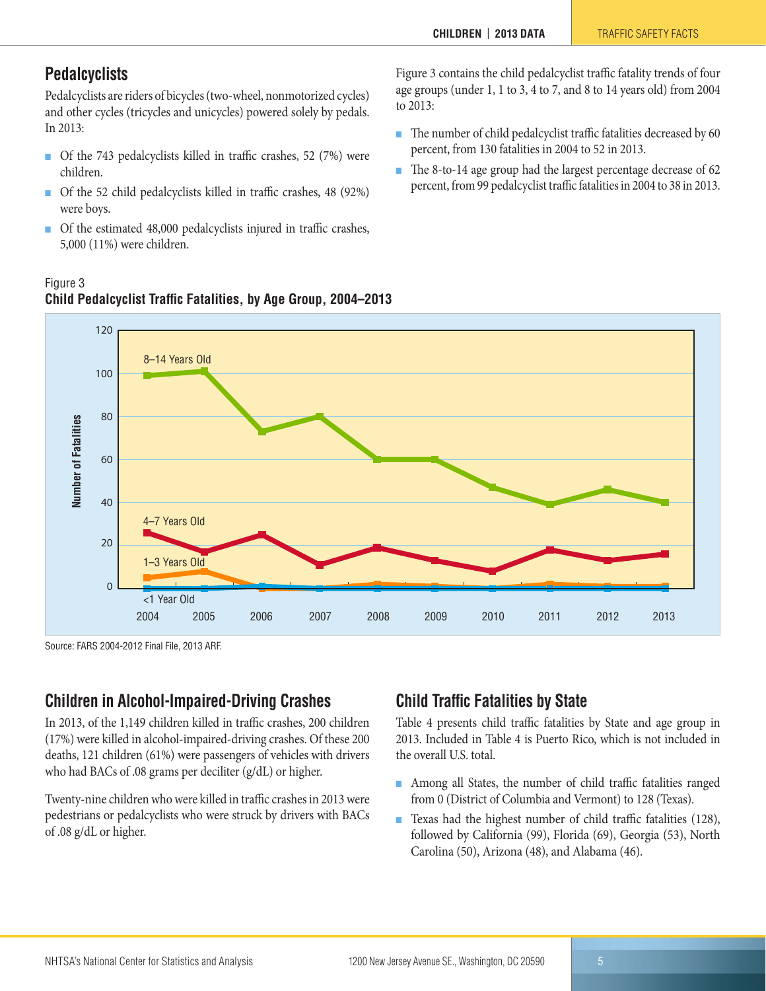#### <span id="page-4-0"></span>**Pedalcyclists**

Figure 3

Pedalcyclists are riders of bicycles (two-wheel, nonmotorized cycles) and other cycles (tricycles and unicycles) powered solely by pedals. In 2013:

- Of the 743 pedalcyclists killed in traffic crashes, 52 (7%) were children.
- Of the 52 child pedalcyclists killed in traffic crashes, 48 (92%) were boys.
- Of the estimated 48,000 pedalcyclists injured in traffic crashes, 5,000 (11%) were children.

Figure 3 contains the child pedalcyclist traffic fatality trends of four age groups (under 1, 1 to 3, 4 to 7, and 8 to 14 years old) from 2004 to 2013:

- The number of child pedalcyclist traffic fatalities decreased by 60 percent, from 130 fatalities in 2004 to 52 in 2013.
- The 8-to-14 age group had the largest percentage decrease of 62 percent, from 99 pedalcyclist traffic fatalities in 2004 to 38 in 2013.



#### **Child Pedalcyclist Traffic Fatalities, by Age Group, 2004–2013**

Source: FARS 2004-2012 Final File, 2013 ARF.

#### <span id="page-4-1"></span>**Children in Alcohol-Impaired-Driving Crashes**

In 2013, of the 1,149 children killed in traffic crashes, 200 children (17%) were killed in alcohol-impaired-driving crashes. Of these 200 deaths, 121 children (61%) were passengers of vehicles with drivers who had BACs of .08 grams per deciliter (g/dL) or higher.

Twenty-nine children who were killed in traffic crashes in 2013 were pedestrians or pedalcyclists who were struck by drivers with BACs of .08 g/dL or higher.

#### <span id="page-4-2"></span>**Child Traffic Fatalities by State**

Table 4 presents child traffic fatalities by State and age group in 2013. Included in Table 4 is Puerto Rico, which is not included in the overall U.S. total.

- Among all States, the number of child traffic fatalities ranged from 0 (District of Columbia and Vermont) to 128 (Texas).
- Texas had the highest number of child traffic fatalities (128), followed by California (99), Florida (69), Georgia (53), North Carolina (50), Arizona (48), and Alabama (46).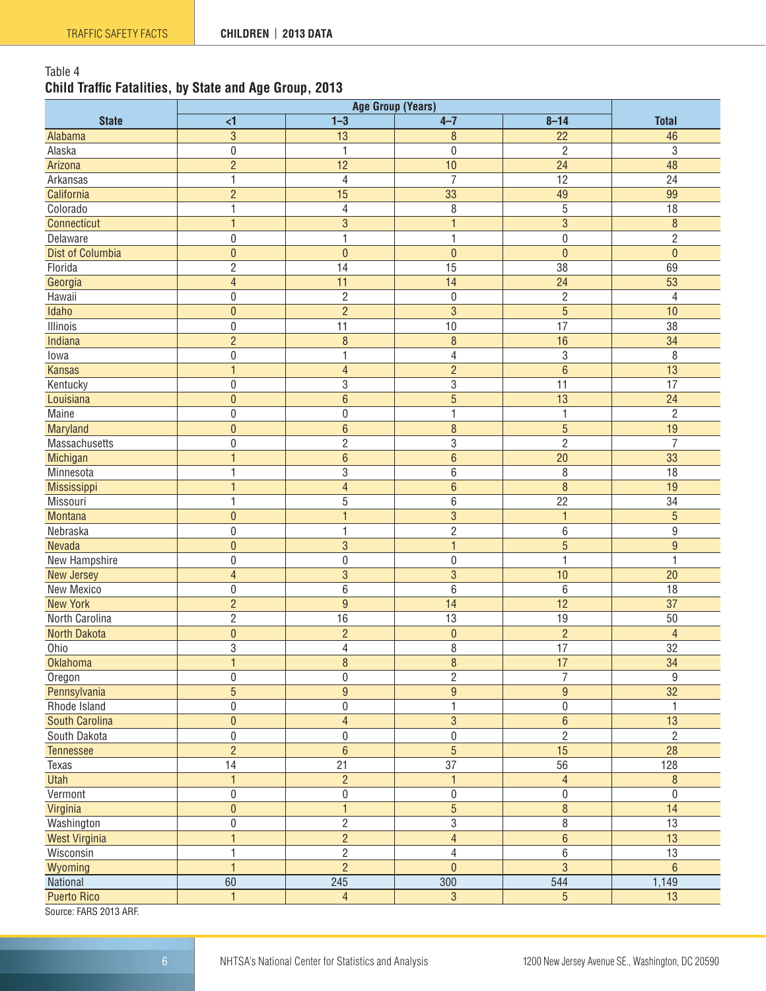#### Table 4 **Child Traffic Fatalities, by State and Age Group, 2013**

|                         | <b>Age Group (Years)</b> |                               |                          |                  |                  |  |  |
|-------------------------|--------------------------|-------------------------------|--------------------------|------------------|------------------|--|--|
| <b>State</b>            | $\leq$                   | $1 - 3$                       | $4 - 7$                  | $8 - 14$         | <b>Total</b>     |  |  |
| Alabama                 | $\mathbf{3}$             | 13                            | $\, 8$                   | 22               | 46               |  |  |
| Alaska                  | $\pmb{0}$                | 1                             | 0                        | $\overline{2}$   | 3                |  |  |
| Arizona                 | $\overline{2}$           | 12                            | 10                       | 24               | 48               |  |  |
| Arkansas                | 1                        | 4                             | $\overline{7}$           | 12               | 24               |  |  |
| California              | $\overline{2}$           | 15                            | 33                       | 49               | 99               |  |  |
| Colorado                | $\mathbf{1}$             | $\overline{4}$                | 8                        | 5                | 18               |  |  |
| Connecticut             | $\mathbf{1}$             | $\mathfrak{S}$                | $\overline{1}$           | 3                | $\boldsymbol{8}$ |  |  |
| Delaware                | 0                        | 1                             | 1                        | $\mathbf 0$      | $\overline{2}$   |  |  |
| Dist of Columbia        | $\pmb{0}$                | $\mathbf 0$                   | $\mathbf{0}$             | $\mathbf{0}$     | $\mathbf{0}$     |  |  |
| Florida                 | $\overline{2}$           | 14                            | 15                       | 38               | 69               |  |  |
| Georgia                 | $\overline{4}$           | $\overline{11}$               | 14                       | $\overline{24}$  | 53               |  |  |
| Hawaii                  | $\pmb{0}$                | $\overline{2}$                | $\boldsymbol{0}$         | $\overline{c}$   | $\overline{4}$   |  |  |
| Idaho                   | $\mathbf{0}$             | $\overline{2}$                | 3                        | $\overline{5}$   | 10               |  |  |
| Illinois                | $\pmb{0}$                | 11                            | 10                       | $\overline{17}$  | 38               |  |  |
| Indiana                 | $\overline{2}$           | $\, 8$                        | $\boldsymbol{8}$         | 16               | 34               |  |  |
| lowa                    | $\pmb{0}$                | $\mathbf{1}$                  | $\overline{\mathcal{L}}$ | 3                | 8                |  |  |
| <b>Kansas</b>           | $\mathbf{1}$             | $\overline{4}$                | $\overline{2}$           | $6\phantom{a}$   | 13               |  |  |
| Kentucky                | 0                        | $\sqrt{3}$                    | $\sqrt{3}$               | 11               | 17               |  |  |
| Louisiana               | $\pmb{0}$                | $6\phantom{a}$                | 5                        | 13               | 24               |  |  |
| Maine                   | $\pmb{0}$                | $\boldsymbol{0}$              | 1                        | 1                | $\overline{2}$   |  |  |
| Maryland                | $\pmb{0}$                | $6\phantom{1}6$               | 8                        | 5                | 19               |  |  |
| Massachusetts           |                          | $\overline{c}$                | 3                        | $\overline{c}$   | $\overline{7}$   |  |  |
|                         | 0<br>$\mathbf{1}$        |                               |                          |                  |                  |  |  |
| Michigan<br>Minnesota   |                          | $6\phantom{1}6$<br>$\sqrt{3}$ | $6\phantom{1}6$<br>$6\,$ | 20<br>8          | 33<br>18         |  |  |
|                         | 1<br>$\mathbf{1}$        | $\overline{4}$                | $6\phantom{1}6$          | 8                | 19               |  |  |
| Mississippi<br>Missouri | 1                        | $\sqrt{5}$                    | $\,6\,$                  | 22               | 34               |  |  |
| Montana                 | $\mathbf{0}$             | $\overline{1}$                | $\overline{3}$           | $\mathbf{1}$     | $\overline{5}$   |  |  |
| Nebraska                | $\boldsymbol{0}$         | 1                             | $\overline{2}$           | 6                | $\boldsymbol{9}$ |  |  |
| Nevada                  | $\pmb{0}$                | 3                             | $\mathbf{1}$             | 5                | $\boldsymbol{9}$ |  |  |
| New Hampshire           | $\boldsymbol{0}$         | $\boldsymbol{0}$              | $\boldsymbol{0}$         | $\mathbf{1}$     | $\mathbf{1}$     |  |  |
| New Jersey              | $\overline{4}$           | $\overline{3}$                | $\overline{3}$           | 10               | 20               |  |  |
| New Mexico              | $\pmb{0}$                | $6\,$                         | 6                        | 6                | 18               |  |  |
| <b>New York</b>         | $\overline{2}$           | $\overline{9}$                | 14                       | $\overline{12}$  | $\overline{37}$  |  |  |
| North Carolina          | $\overline{2}$           | 16                            | 13                       | 19               | 50               |  |  |
| North Dakota            | $\pmb{0}$                | $\overline{c}$                | $\mathbf 0$              | $\overline{c}$   | $\overline{4}$   |  |  |
| Ohio                    | 3                        | $\overline{4}$                | 8                        | $\overline{17}$  | 32               |  |  |
| <b>Oklahoma</b>         | $\mathbf{1}$             | $\bf 8$                       | $\boldsymbol{8}$         | 17               | $\overline{34}$  |  |  |
| Oregon                  | $\boldsymbol{0}$         | $\pmb{0}$                     | $\overline{2}$           | $\overline{7}$   | $\boldsymbol{9}$ |  |  |
| Pennsylvania            | 5                        | $\boldsymbol{9}$              | $\overline{9}$           | $\boldsymbol{9}$ | $\overline{32}$  |  |  |
| Rhode Island            | $\boldsymbol{0}$         | $\boldsymbol{0}$              | $\mathbf{1}$             | $\pmb{0}$        | $\mathbf{1}$     |  |  |
| South Carolina          | $\pmb{0}$                | $\overline{4}$                | $\mathbf{3}$             | $\boldsymbol{6}$ | 13               |  |  |
| South Dakota            | $\boldsymbol{0}$         | $\pmb{0}$                     | $\pmb{0}$                | $\overline{c}$   | $\overline{2}$   |  |  |
| Tennessee               | $\overline{2}$           | $6\phantom{a}$                | $\overline{5}$           | 15               | $\overline{28}$  |  |  |
| Texas                   | 14                       | 21                            | 37                       | 56               | 128              |  |  |
| Utah                    | 1                        | $\overline{2}$                | $\mathbf{1}$             | $\overline{4}$   | $\, 8$           |  |  |
| Vermont                 | $\pmb{0}$                | $\boldsymbol{0}$              | $\pmb{0}$                | $\boldsymbol{0}$ | $\pmb{0}$        |  |  |
| Virginia                | $\pmb{0}$                |                               | $\overline{5}$           | $\,8\,$          | $\overline{14}$  |  |  |
| Washington              | $\boldsymbol{0}$         | $\overline{2}$                | $\sqrt{3}$               | $\,8\,$          | 13               |  |  |
| <b>West Virginia</b>    | $\mathbf{1}$             | $\overline{2}$                | $\overline{4}$           | $\boldsymbol{6}$ | 13               |  |  |
| Wisconsin               | 1                        | $\overline{2}$                | 4                        | $\,6$            | $\overline{13}$  |  |  |
|                         | $\mathbf{1}$             | $\overline{2}$                | $\pmb{0}$                | $\overline{3}$   | $\,6\,$          |  |  |
| Wyoming<br>National     | 60                       | $\overline{245}$              | $\overline{300}$         | $\overline{544}$ | 1,149            |  |  |
| <b>Puerto Rico</b>      | $\mathbf{1}$             | $\overline{4}$                | 3                        | $5\overline{)}$  | 13               |  |  |
| Course: EADC 2012 ADE   |                          |                               |                          |                  |                  |  |  |

Source: FARS 2013 ARF.